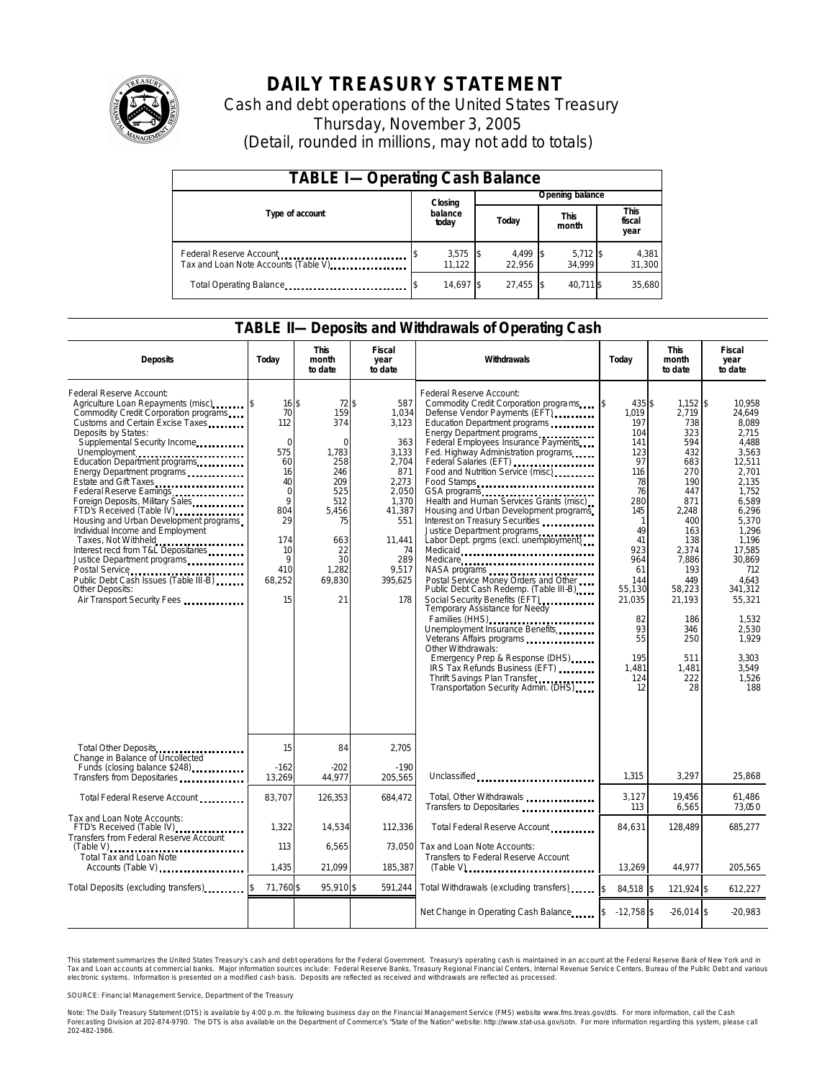

# **DAILY TREASURY STATEMENT**

Cash and debt operations of the United States Treasury Thursday, November 3, 2005 (Detail, rounded in millions, may not add to totals)

| <b>TABLE I-Operating Cash Balance</b>                                              |  |                      |  |                    |                 |                      |  |                        |
|------------------------------------------------------------------------------------|--|----------------------|--|--------------------|-----------------|----------------------|--|------------------------|
|                                                                                    |  | Closing              |  |                    | Opening balance |                      |  |                        |
| Type of account                                                                    |  | balance<br>today     |  | Today              |                 | <b>This</b><br>month |  | This<br>fiscal<br>year |
| Federal Reserve Account<br>Tax and Loan Note Accounts (Table V). The manuscript of |  | $3,575$ \$<br>11.122 |  | 4,499 \$<br>22.956 |                 | $5,712$ \$<br>34.999 |  | 4,381<br>31,300        |
| Total Operating Balance                                                            |  | 14.697 \$            |  | 27.455             |                 | 40.711 \$            |  | 35.680                 |

#### **TABLE II—Deposits and Withdrawals of Operating Cash**

| <b>Deposits</b>                                                                                                                                                                                                                                                                                                                                                                                                                                                                                                                                                                                                                                                                       | Today                                                                                                                                  | <b>This</b><br>month<br>to date                                                                                                          | Fiscal<br>year<br>to date                                                                                                                           | Withdrawals                                                                                                                                                                                                                                                                                                                                                                                                                                                                                                                                                                                                                                                                                                                                                                                                                                                                                                                                                                             | Today                                                                                                                                                                                                  | <b>This</b><br>month<br>to date                                                                                                                                                                                        | <b>Fiscal</b><br>year<br>to date                                                                                                                                                                                                                             |
|---------------------------------------------------------------------------------------------------------------------------------------------------------------------------------------------------------------------------------------------------------------------------------------------------------------------------------------------------------------------------------------------------------------------------------------------------------------------------------------------------------------------------------------------------------------------------------------------------------------------------------------------------------------------------------------|----------------------------------------------------------------------------------------------------------------------------------------|------------------------------------------------------------------------------------------------------------------------------------------|-----------------------------------------------------------------------------------------------------------------------------------------------------|-----------------------------------------------------------------------------------------------------------------------------------------------------------------------------------------------------------------------------------------------------------------------------------------------------------------------------------------------------------------------------------------------------------------------------------------------------------------------------------------------------------------------------------------------------------------------------------------------------------------------------------------------------------------------------------------------------------------------------------------------------------------------------------------------------------------------------------------------------------------------------------------------------------------------------------------------------------------------------------------|--------------------------------------------------------------------------------------------------------------------------------------------------------------------------------------------------------|------------------------------------------------------------------------------------------------------------------------------------------------------------------------------------------------------------------------|--------------------------------------------------------------------------------------------------------------------------------------------------------------------------------------------------------------------------------------------------------------|
| Federal Reserve Account:<br>Agriculture Loan Repayments (misc) [\$<br>Commodity Credit Corporation programs<br>Customs and Certain Excise Taxes<br>Deposits by States:<br>Supplemental Security Income<br>Unemployment<br>Education Department programs<br>Energy Department programs<br>Estate and Gift Taxes<br><br>Federal Reserve Earnings<br>Foreign Deposits, Military Sales<br>FTD's Received (Table IV)<br>Housing and Urban Development programs<br>Individual Income and Employment<br>Taxes, Not Withheld<br>Interest recd from T&L Depositaries<br>Justice Department programs<br>Public Debt Cash Issues (Table III-B)<br>Other Deposits:<br>Air Transport Security Fees | $16$ \$<br>70<br>112<br>$\mathbf 0$<br>575<br>60<br>16<br>40<br>$\mathbf 0$<br>9<br>804<br>29<br>174<br>10<br>9<br>410<br>68,252<br>15 | $72$ \$<br>159<br>374<br>$\Omega$<br>1,783<br>258<br>246<br>209<br>525<br>512<br>5,456<br>75<br>663<br>22<br>30<br>1,282<br>69,830<br>21 | 587<br>1,034<br>3,123<br>363<br>3,133<br>2,704<br>871<br>2,273<br>2,050<br>1.370<br>41,387<br>551<br>11.441<br>74<br>289<br>9,517<br>395,625<br>178 | Federal Reserve Account:<br>Commodity Credit Corporation programs<br>Defense Vendor Payments (EFT)<br>Education Department programs<br>Energy Department programs<br>Federal Employees Insurance Payments<br>Fed. Highway Administration programs<br>Federal Salaries (EFT)<br>Food and Nutrition Service (misc)<br>Food Stamps<br>GSA programs<br>Health and Human Services Grants (misc)<br>Housing and Urban Development programs<br>Interest on Treasury Securities<br>Justice Department programs<br>Labor Dept. prgms (excl. unemployment)<br>Medicaid<br>Medicare<br>Postal Service Money Orders and Other<br>Public Debt Cash Redemp. (Table III-B)<br>Social Security Benefits (EFT)<br>Temporary Assistance for Needy<br>Families (HHS)<br>Unemployment Insurance Benefits<br>Other Withdrawals:<br>Emergency Prep & Response (DHS)<br>IRS Tax Refunds Business (EFT)<br>Thrift Savings Plan Transfer<br>Thrift Savings Plan Transfer<br>Transportation Security Admin. (DHS) | 435\$<br>ß.<br>1.019<br>197<br>104<br>141<br>123<br>97<br>116<br>78<br>76<br>280<br>145<br>1<br>49<br>41<br>923<br>964<br>61<br>144<br>55,130<br>21,035<br>82<br>93<br>55<br>195<br>1.481<br>124<br>12 | $1,152$ \$<br>2.719<br>738<br>323<br>594<br>432<br>683<br>270<br>190<br>447<br>871<br>2,248<br>400<br>163<br>138<br>2.374<br>7,886<br>193<br>449<br>58,223<br>21,193<br>186<br>346<br>250<br>511<br>1,481<br>222<br>28 | 10,958<br>24.649<br>8.089<br>2.715<br>4,488<br>3,563<br>12,511<br>2,701<br>2.135<br>1,752<br>6.589<br>6,296<br>5.370<br>1.296<br>1.196<br>17.585<br>30,869<br>712<br>4.643<br>341.312<br>55,321<br>1,532<br>2,530<br>1,929<br>3.303<br>3.549<br>1.526<br>188 |
| Total Other Deposits<br>Change in Balance of Uncollected                                                                                                                                                                                                                                                                                                                                                                                                                                                                                                                                                                                                                              | 15                                                                                                                                     | 84                                                                                                                                       | 2,705                                                                                                                                               |                                                                                                                                                                                                                                                                                                                                                                                                                                                                                                                                                                                                                                                                                                                                                                                                                                                                                                                                                                                         |                                                                                                                                                                                                        |                                                                                                                                                                                                                        |                                                                                                                                                                                                                                                              |
| Funds (closing balance \$248)<br>Funds (closing balance \$248)<br>Transfers from Depositaries                                                                                                                                                                                                                                                                                                                                                                                                                                                                                                                                                                                         | $-162$<br>13,269                                                                                                                       | $-202$<br>44,977                                                                                                                         | $-190$<br>205,565                                                                                                                                   | Unclassified                                                                                                                                                                                                                                                                                                                                                                                                                                                                                                                                                                                                                                                                                                                                                                                                                                                                                                                                                                            | 1,315                                                                                                                                                                                                  | 3,297                                                                                                                                                                                                                  | 25.868                                                                                                                                                                                                                                                       |
| Total Federal Reserve Account                                                                                                                                                                                                                                                                                                                                                                                                                                                                                                                                                                                                                                                         | 83,707                                                                                                                                 | 126,353                                                                                                                                  | 684.472                                                                                                                                             | Total, Other Withdrawals<br>Transfers to Depositaries                                                                                                                                                                                                                                                                                                                                                                                                                                                                                                                                                                                                                                                                                                                                                                                                                                                                                                                                   | 3,127<br>113                                                                                                                                                                                           | 19,456<br>6,565                                                                                                                                                                                                        | 61,486<br>73,050                                                                                                                                                                                                                                             |
| Tax and Loan Note Accounts:<br>FTD's Received (Table IV)<br>Transfers from Federal Reserve Account                                                                                                                                                                                                                                                                                                                                                                                                                                                                                                                                                                                    | 1.322                                                                                                                                  | 14,534                                                                                                                                   | 112.336                                                                                                                                             | Total Federal Reserve Account                                                                                                                                                                                                                                                                                                                                                                                                                                                                                                                                                                                                                                                                                                                                                                                                                                                                                                                                                           | 84.631                                                                                                                                                                                                 | 128,489                                                                                                                                                                                                                | 685,277                                                                                                                                                                                                                                                      |
| $(Table V)$<br>.<br>Total Tax and Loan Note<br>Accounts (Table V)                                                                                                                                                                                                                                                                                                                                                                                                                                                                                                                                                                                                                     | 113<br>1,435                                                                                                                           | 6,565<br>21,099                                                                                                                          | 73,050<br>185,387                                                                                                                                   | Tax and Loan Note Accounts:<br>Transfers to Federal Reserve Account<br>$(Table V)$ ,                                                                                                                                                                                                                                                                                                                                                                                                                                                                                                                                                                                                                                                                                                                                                                                                                                                                                                    | 13,269                                                                                                                                                                                                 | 44,977                                                                                                                                                                                                                 | 205,565                                                                                                                                                                                                                                                      |
| Total Deposits (excluding transfers)                                                                                                                                                                                                                                                                                                                                                                                                                                                                                                                                                                                                                                                  | 71,760\$                                                                                                                               | 95,910 \$                                                                                                                                | 591,244                                                                                                                                             | Total Withdrawals (excluding transfers)                                                                                                                                                                                                                                                                                                                                                                                                                                                                                                                                                                                                                                                                                                                                                                                                                                                                                                                                                 | $\mathsf{s}$<br>84,518 \$                                                                                                                                                                              | 121,924 \$                                                                                                                                                                                                             | 612,227                                                                                                                                                                                                                                                      |
|                                                                                                                                                                                                                                                                                                                                                                                                                                                                                                                                                                                                                                                                                       |                                                                                                                                        |                                                                                                                                          |                                                                                                                                                     | Net Change in Operating Cash Balance                                                                                                                                                                                                                                                                                                                                                                                                                                                                                                                                                                                                                                                                                                                                                                                                                                                                                                                                                    | $-12,758$ \$                                                                                                                                                                                           | $-26,014$ \$                                                                                                                                                                                                           | $-20,983$                                                                                                                                                                                                                                                    |

This statement summarizes the United States Treasury's cash and debt operations for the Federal Government. Treasury's operating cash is maintained in an account at the Federal Reserve Bank of New York and in Tax and Loan accounts at commercial banks. Major information sources include: Federal Reserve Banks, Treasury Regional Financial Centers, Internal Revenue Service Centers, Bureau of the Public Debt and various<br>electronic s

SOURCE: Financial Management Service, Department of the Treasury

Note: The Daily Treasury Statement (DTS) is available by 4:00 p.m. the following business day on the Financial Management Service (FMS) website www.fms.treas.gov/dts.<br>Forecasting Division at 202-874-9790. The DTS is also a 'S) is available by 4:00 p.m. the following business day on the Financial Management Service (FMS) website www.fms.treas.gov/dts. For more information, call the Cash<br>The DTS is also available on the Department of Commerce'